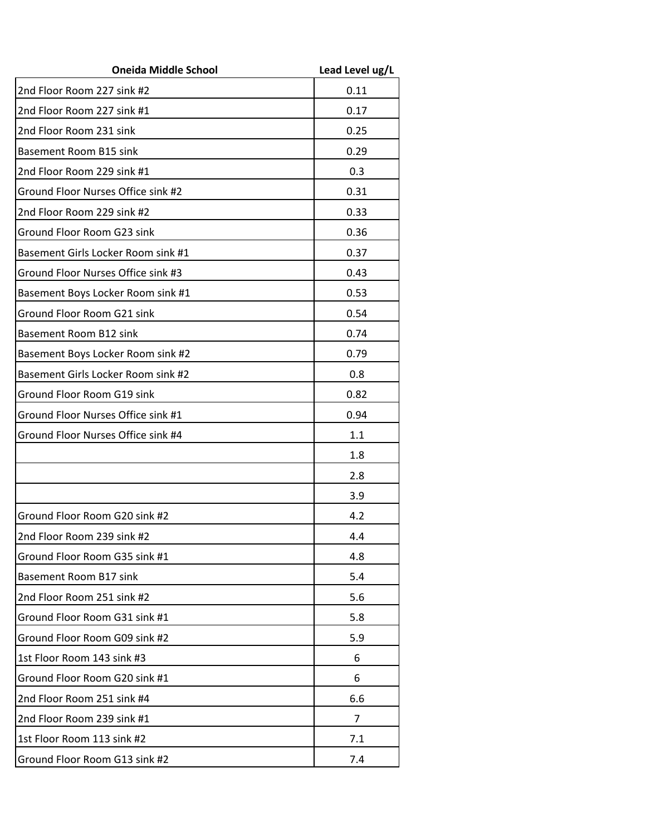| <b>Oneida Middle School</b>        | Lead Level ug/L |
|------------------------------------|-----------------|
| 2nd Floor Room 227 sink #2         | 0.11            |
| 2nd Floor Room 227 sink #1         | 0.17            |
| 2nd Floor Room 231 sink            | 0.25            |
| Basement Room B15 sink             | 0.29            |
| 2nd Floor Room 229 sink #1         | 0.3             |
| Ground Floor Nurses Office sink #2 | 0.31            |
| 2nd Floor Room 229 sink #2         | 0.33            |
| Ground Floor Room G23 sink         | 0.36            |
| Basement Girls Locker Room sink #1 | 0.37            |
| Ground Floor Nurses Office sink #3 | 0.43            |
| Basement Boys Locker Room sink #1  | 0.53            |
| Ground Floor Room G21 sink         | 0.54            |
| Basement Room B12 sink             | 0.74            |
| Basement Boys Locker Room sink #2  | 0.79            |
| Basement Girls Locker Room sink #2 | 0.8             |
| Ground Floor Room G19 sink         | 0.82            |
| Ground Floor Nurses Office sink #1 | 0.94            |
| Ground Floor Nurses Office sink #4 | 1.1             |
|                                    | 1.8             |
|                                    | 2.8             |
|                                    | 3.9             |
| Ground Floor Room G20 sink #2      | 4.2             |
| 2nd Floor Room 239 sink #2         | 4.4             |
| Ground Floor Room G35 sink #1      | 4.8             |
| Basement Room B17 sink             | 5.4             |
| 2nd Floor Room 251 sink #2         | 5.6             |
| Ground Floor Room G31 sink #1      | 5.8             |
| Ground Floor Room G09 sink #2      | 5.9             |
| 1st Floor Room 143 sink #3         | 6               |
| Ground Floor Room G20 sink #1      | 6               |
| 2nd Floor Room 251 sink #4         | 6.6             |
| 2nd Floor Room 239 sink #1         | $\overline{7}$  |
| 1st Floor Room 113 sink #2         | 7.1             |
| Ground Floor Room G13 sink #2      | 7.4             |